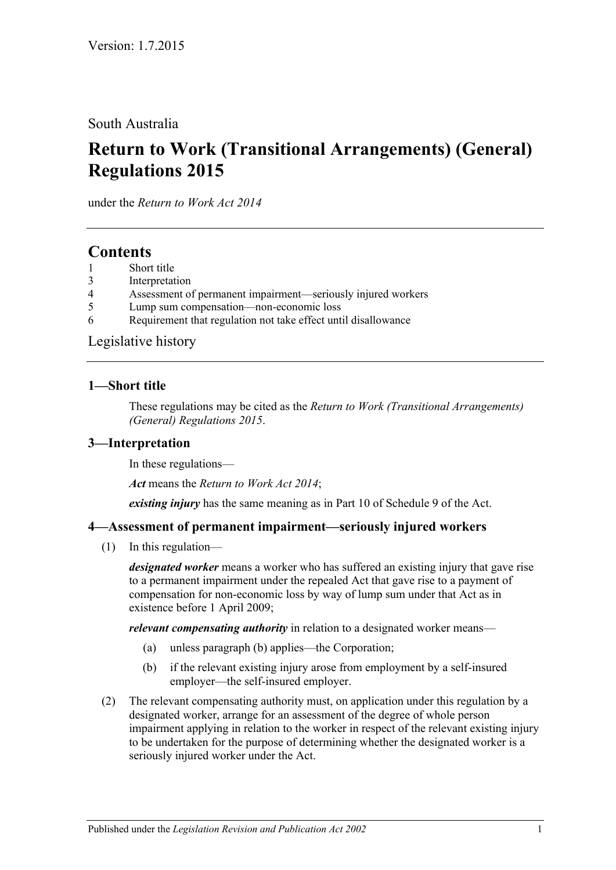South Australia

# **Return to Work (Transitional Arrangements) (General) Regulations 2015**

under the *Return to Work Act 2014*

## **Contents**

- 1 [Short title](#page-0-0)
- 3 [Interpretation](#page-0-1)
- 4 [Assessment of permanent impairment—seriously injured workers](#page-0-2)
- 5 [Lump sum compensation—non-economic loss](#page-1-0)
- 6 [Requirement that regulation not take effect until disallowance](#page-2-0)

[Legislative history](#page-3-0)

#### <span id="page-0-0"></span>**1—Short title**

These regulations may be cited as the *Return to Work (Transitional Arrangements) (General) Regulations 2015*.

#### <span id="page-0-1"></span>**3—Interpretation**

In these regulations—

*Act* means the *[Return to Work Act](http://www.legislation.sa.gov.au/index.aspx?action=legref&type=act&legtitle=Return%20to%20Work%20Act%202014) 2014*;

*existing injury* has the same meaning as in Part 10 of Schedule 9 of the Act.

#### <span id="page-0-2"></span>**4—Assessment of permanent impairment—seriously injured workers**

(1) In this regulation—

*designated worker* means a worker who has suffered an existing injury that gave rise to a permanent impairment under the repealed Act that gave rise to a payment of compensation for non-economic loss by way of lump sum under that Act as in existence before 1 April 2009;

*relevant compensating authority* in relation to a designated worker means—

- (a) unless [paragraph](#page-0-3) (b) applies—the Corporation;
- (b) if the relevant existing injury arose from employment by a self-insured employer—the self-insured employer.
- <span id="page-0-3"></span>(2) The relevant compensating authority must, on application under this regulation by a designated worker, arrange for an assessment of the degree of whole person impairment applying in relation to the worker in respect of the relevant existing injury to be undertaken for the purpose of determining whether the designated worker is a seriously injured worker under the Act.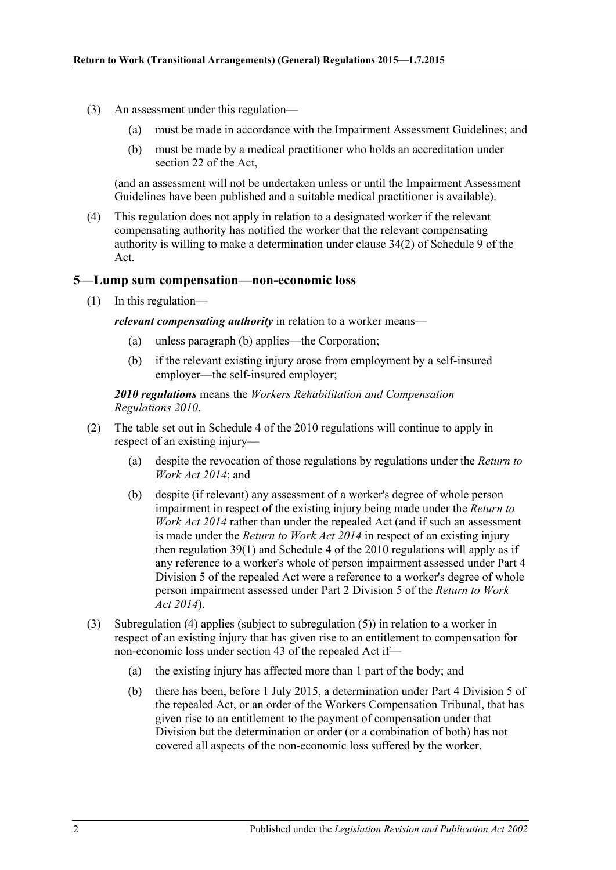- (3) An assessment under this regulation—
	- (a) must be made in accordance with the Impairment Assessment Guidelines; and
	- (b) must be made by a medical practitioner who holds an accreditation under section 22 of the Act,

(and an assessment will not be undertaken unless or until the Impairment Assessment Guidelines have been published and a suitable medical practitioner is available).

(4) This regulation does not apply in relation to a designated worker if the relevant compensating authority has notified the worker that the relevant compensating authority is willing to make a determination under clause 34(2) of Schedule 9 of the Act.

#### <span id="page-1-0"></span>**5—Lump sum compensation—non-economic loss**

(1) In this regulation—

<span id="page-1-1"></span>*relevant compensating authority* in relation to a worker means—

- (a) unless [paragraph](#page-1-1) (b) applies—the Corporation;
- (b) if the relevant existing injury arose from employment by a self-insured employer—the self-insured employer;

*2010 regulations* means the *[Workers Rehabilitation and Compensation](http://www.legislation.sa.gov.au/index.aspx?action=legref&type=subordleg&legtitle=Workers%20Rehabilitation%20and%20Compensation%20Regulations%202010)  [Regulations](http://www.legislation.sa.gov.au/index.aspx?action=legref&type=subordleg&legtitle=Workers%20Rehabilitation%20and%20Compensation%20Regulations%202010) 2010*.

- (2) The table set out in Schedule 4 of the 2010 regulations will continue to apply in respect of an existing injury—
	- (a) despite the revocation of those regulations by regulations under the *[Return to](http://www.legislation.sa.gov.au/index.aspx?action=legref&type=act&legtitle=Return%20to%20Work%20Act%202014)  [Work Act](http://www.legislation.sa.gov.au/index.aspx?action=legref&type=act&legtitle=Return%20to%20Work%20Act%202014) 2014*; and
	- (b) despite (if relevant) any assessment of a worker's degree of whole person impairment in respect of the existing injury being made under the *[Return to](http://www.legislation.sa.gov.au/index.aspx?action=legref&type=act&legtitle=Return%20to%20Work%20Act%202014)  [Work Act](http://www.legislation.sa.gov.au/index.aspx?action=legref&type=act&legtitle=Return%20to%20Work%20Act%202014) 2014* rather than under the repealed Act (and if such an assessment is made under the *[Return to Work Act](http://www.legislation.sa.gov.au/index.aspx?action=legref&type=act&legtitle=Return%20to%20Work%20Act%202014) 2014* in respect of an existing injury then regulation 39(1) and Schedule 4 of the 2010 regulations will apply as if any reference to a worker's whole of person impairment assessed under Part 4 Division 5 of the repealed Act were a reference to a worker's degree of whole person impairment assessed under Part 2 Division 5 of the *[Return to Work](http://www.legislation.sa.gov.au/index.aspx?action=legref&type=act&legtitle=Return%20to%20Work%20Act%202014)  Act [2014](http://www.legislation.sa.gov.au/index.aspx?action=legref&type=act&legtitle=Return%20to%20Work%20Act%202014)*).
- <span id="page-1-2"></span>(3) [Subregulation](#page-2-1) (4) applies (subject to [subregulation](#page-2-2) (5)) in relation to a worker in respect of an existing injury that has given rise to an entitlement to compensation for non-economic loss under section 43 of the repealed Act if—
	- (a) the existing injury has affected more than 1 part of the body; and
	- (b) there has been, before 1 July 2015, a determination under Part 4 Division 5 of the repealed Act, or an order of the Workers Compensation Tribunal, that has given rise to an entitlement to the payment of compensation under that Division but the determination or order (or a combination of both) has not covered all aspects of the non-economic loss suffered by the worker.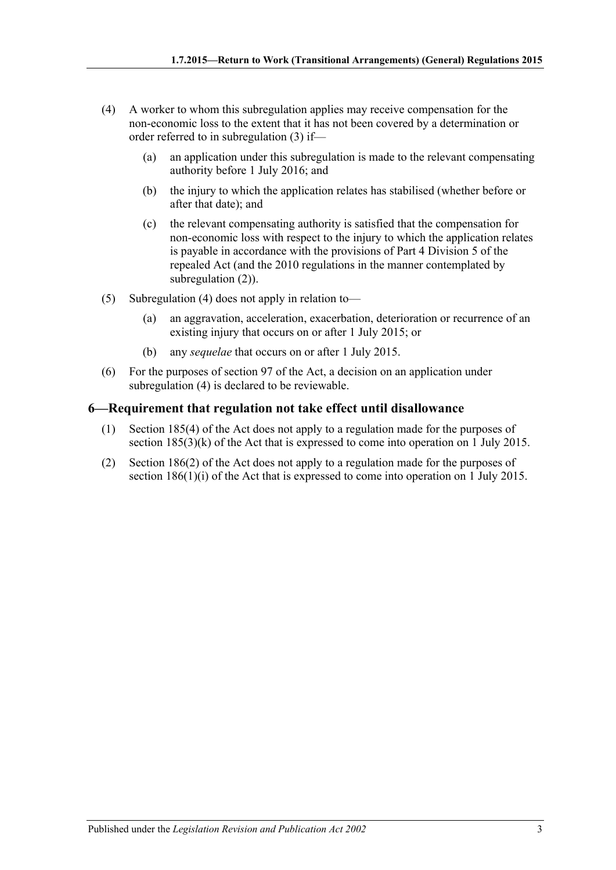- <span id="page-2-1"></span>(4) A worker to whom this subregulation applies may receive compensation for the non-economic loss to the extent that it has not been covered by a determination or order referred to in [subregulation](#page-1-2) (3) if—
	- (a) an application under this subregulation is made to the relevant compensating authority before 1 July 2016; and
	- (b) the injury to which the application relates has stabilised (whether before or after that date); and
	- (c) the relevant compensating authority is satisfied that the compensation for non-economic loss with respect to the injury to which the application relates is payable in accordance with the provisions of Part 4 Division 5 of the repealed Act (and the 2010 regulations in the manner contemplated by subregulation (2)).
- <span id="page-2-2"></span>(5) [Subregulation](#page-2-1) (4) does not apply in relation to—
	- (a) an aggravation, acceleration, exacerbation, deterioration or recurrence of an existing injury that occurs on or after 1 July 2015; or
	- (b) any *sequelae* that occurs on or after 1 July 2015.
- (6) For the purposes of section 97 of the Act, a decision on an application under [subregulation](#page-2-1) (4) is declared to be reviewable.

#### <span id="page-2-0"></span>**6—Requirement that regulation not take effect until disallowance**

- (1) Section 185(4) of the Act does not apply to a regulation made for the purposes of section 185(3)(k) of the Act that is expressed to come into operation on 1 July 2015.
- (2) Section 186(2) of the Act does not apply to a regulation made for the purposes of section 186(1)(i) of the Act that is expressed to come into operation on 1 July 2015.